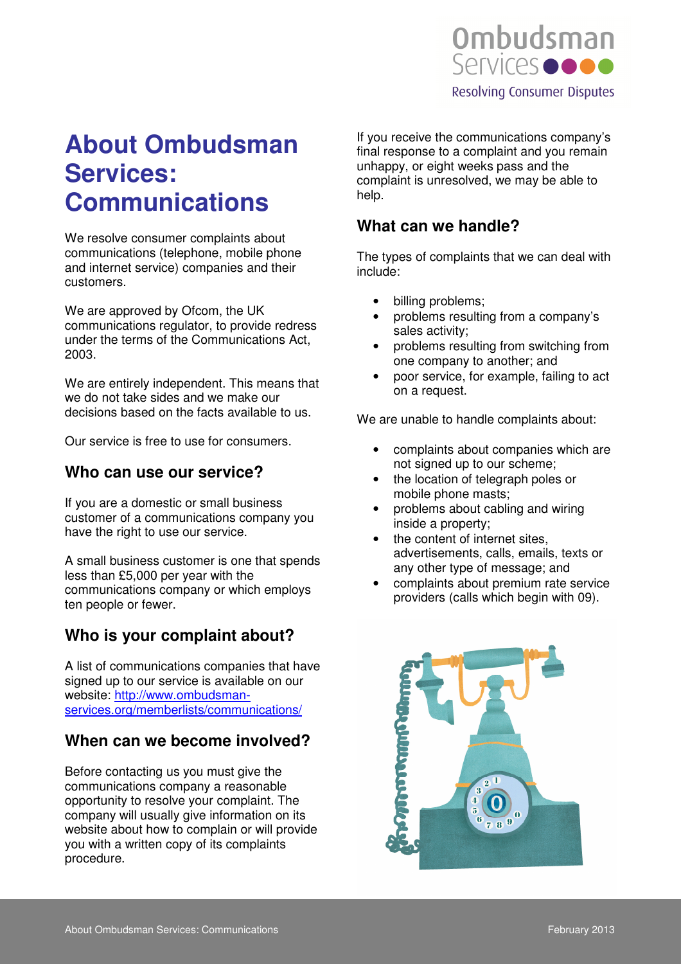

# **About Ombudsman Services: Communications**

We resolve consumer complaints about communications (telephone, mobile phone and internet service) companies and their customers.

We are approved by Ofcom, the UK communications regulator, to provide redress under the terms of the Communications Act, 2003.

We are entirely independent. This means that we do not take sides and we make our decisions based on the facts available to us.

Our service is free to use for consumers.

#### **Who can use our service?**

If you are a domestic or small business customer of a communications company you have the right to use our service.

A small business customer is one that spends less than £5,000 per year with the communications company or which employs ten people or fewer.

# **Who is your complaint about?**

A list of communications companies that have signed up to our service is available on our website: http://www.ombudsmanservices.org/memberlists/communications/

### **When can we become involved?**

Before contacting us you must give the communications company a reasonable opportunity to resolve your complaint. The company will usually give information on its website about how to complain or will provide you with a written copy of its complaints procedure.

If you receive the communications company's final response to a complaint and you remain unhappy, or eight weeks pass and the complaint is unresolved, we may be able to help.

## **What can we handle?**

The types of complaints that we can deal with include:

- billing problems;
- problems resulting from a company's sales activity;
- problems resulting from switching from one company to another; and
- poor service, for example, failing to act on a request.

We are unable to handle complaints about:

- complaints about companies which are not signed up to our scheme;
- the location of telegraph poles or mobile phone masts;
- problems about cabling and wiring inside a property;
- the content of internet sites, advertisements, calls, emails, texts or any other type of message; and
- complaints about premium rate service providers (calls which begin with 09).